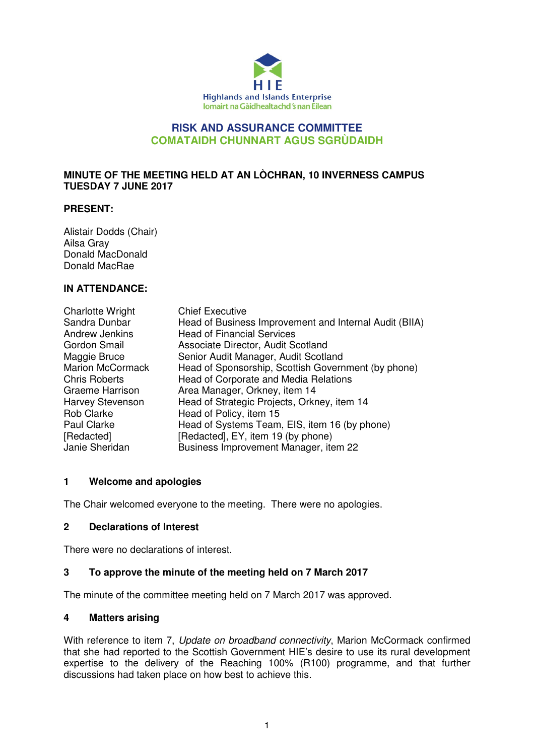

### **RISK AND ASSURANCE COMMITTEE COMATAIDH CHUNNART AGUS SGRÙDAIDH**

### **MINUTE OF THE MEETING HELD AT AN LÒCHRAN, 10 INVERNESS CAMPUS TUESDAY 7 JUNE 2017**

#### **PRESENT:**

Alistair Dodds (Chair) Ailsa Gray Donald MacDonald Donald MacRae

### **IN ATTENDANCE:**

| <b>Charlotte Wright</b> | <b>Chief Executive</b>                                 |
|-------------------------|--------------------------------------------------------|
| Sandra Dunbar           | Head of Business Improvement and Internal Audit (BIIA) |
| Andrew Jenkins          | <b>Head of Financial Services</b>                      |
| Gordon Smail            | Associate Director, Audit Scotland                     |
| Maggie Bruce            | Senior Audit Manager, Audit Scotland                   |
| <b>Marion McCormack</b> | Head of Sponsorship, Scottish Government (by phone)    |
| <b>Chris Roberts</b>    | Head of Corporate and Media Relations                  |
| Graeme Harrison         | Area Manager, Orkney, item 14                          |
| Harvey Stevenson        | Head of Strategic Projects, Orkney, item 14            |
| <b>Rob Clarke</b>       | Head of Policy, item 15                                |
| Paul Clarke             | Head of Systems Team, EIS, item 16 (by phone)          |
| [Redacted]              | [Redacted], EY, item 19 (by phone)                     |
| Janie Sheridan          | Business Improvement Manager, item 22                  |

### **1 Welcome and apologies**

The Chair welcomed everyone to the meeting. There were no apologies.

### **2 Declarations of Interest**

There were no declarations of interest.

### **3 To approve the minute of the meeting held on 7 March 2017**

The minute of the committee meeting held on 7 March 2017 was approved.

### **4 Matters arising**

With reference to item 7, Update on broadband connectivity, Marion McCormack confirmed that she had reported to the Scottish Government HIE's desire to use its rural development expertise to the delivery of the Reaching 100% (R100) programme, and that further discussions had taken place on how best to achieve this.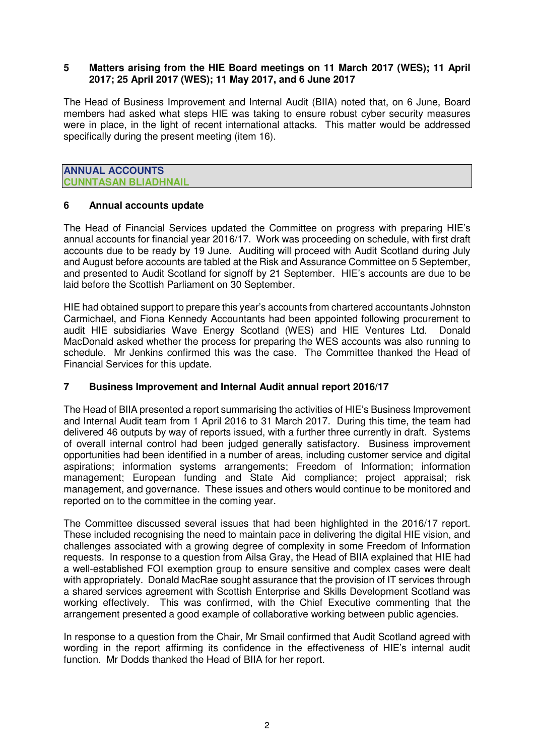#### **5 Matters arising from the HIE Board meetings on 11 March 2017 (WES); 11 April 2017; 25 April 2017 (WES); 11 May 2017, and 6 June 2017**

The Head of Business Improvement and Internal Audit (BIIA) noted that, on 6 June, Board members had asked what steps HIE was taking to ensure robust cyber security measures were in place, in the light of recent international attacks. This matter would be addressed specifically during the present meeting (item 16).

**ANNUAL ACCOUNTS CUNNTASAN BLIADHNAIL** 

#### **6 Annual accounts update**

The Head of Financial Services updated the Committee on progress with preparing HIE's annual accounts for financial year 2016/17. Work was proceeding on schedule, with first draft accounts due to be ready by 19 June. Auditing will proceed with Audit Scotland during July and August before accounts are tabled at the Risk and Assurance Committee on 5 September, and presented to Audit Scotland for signoff by 21 September. HIE's accounts are due to be laid before the Scottish Parliament on 30 September.

HIE had obtained support to prepare this year's accounts from chartered accountants Johnston Carmichael, and Fiona Kennedy Accountants had been appointed following procurement to audit HIE subsidiaries Wave Energy Scotland (WES) and HIE Ventures Ltd. Donald MacDonald asked whether the process for preparing the WES accounts was also running to schedule. Mr Jenkins confirmed this was the case. The Committee thanked the Head of Financial Services for this update.

### **7 Business Improvement and Internal Audit annual report 2016/17**

The Head of BIIA presented a report summarising the activities of HIE's Business Improvement and Internal Audit team from 1 April 2016 to 31 March 2017. During this time, the team had delivered 46 outputs by way of reports issued, with a further three currently in draft. Systems of overall internal control had been judged generally satisfactory. Business improvement opportunities had been identified in a number of areas, including customer service and digital aspirations; information systems arrangements; Freedom of Information; information management; European funding and State Aid compliance; project appraisal; risk management, and governance. These issues and others would continue to be monitored and reported on to the committee in the coming year.

The Committee discussed several issues that had been highlighted in the 2016/17 report. These included recognising the need to maintain pace in delivering the digital HIE vision, and challenges associated with a growing degree of complexity in some Freedom of Information requests. In response to a question from Ailsa Gray, the Head of BIIA explained that HIE had a well-established FOI exemption group to ensure sensitive and complex cases were dealt with appropriately. Donald MacRae sought assurance that the provision of IT services through a shared services agreement with Scottish Enterprise and Skills Development Scotland was working effectively. This was confirmed, with the Chief Executive commenting that the arrangement presented a good example of collaborative working between public agencies.

In response to a question from the Chair, Mr Smail confirmed that Audit Scotland agreed with wording in the report affirming its confidence in the effectiveness of HIE's internal audit function. Mr Dodds thanked the Head of BIIA for her report.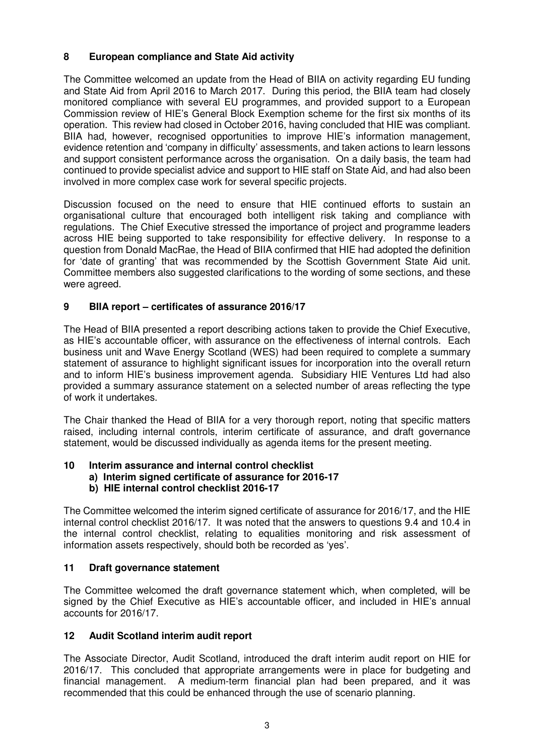# **8 European compliance and State Aid activity**

The Committee welcomed an update from the Head of BIIA on activity regarding EU funding and State Aid from April 2016 to March 2017. During this period, the BIIA team had closely monitored compliance with several EU programmes, and provided support to a European Commission review of HIE's General Block Exemption scheme for the first six months of its operation. This review had closed in October 2016, having concluded that HIE was compliant. BIIA had, however, recognised opportunities to improve HIE's information management, evidence retention and 'company in difficulty' assessments, and taken actions to learn lessons and support consistent performance across the organisation. On a daily basis, the team had continued to provide specialist advice and support to HIE staff on State Aid, and had also been involved in more complex case work for several specific projects.

Discussion focused on the need to ensure that HIE continued efforts to sustain an organisational culture that encouraged both intelligent risk taking and compliance with regulations. The Chief Executive stressed the importance of project and programme leaders across HIE being supported to take responsibility for effective delivery. In response to a question from Donald MacRae, the Head of BIIA confirmed that HIE had adopted the definition for 'date of granting' that was recommended by the Scottish Government State Aid unit. Committee members also suggested clarifications to the wording of some sections, and these were agreed.

# **9 BIIA report – certificates of assurance 2016/17**

The Head of BIIA presented a report describing actions taken to provide the Chief Executive, as HIE's accountable officer, with assurance on the effectiveness of internal controls. Each business unit and Wave Energy Scotland (WES) had been required to complete a summary statement of assurance to highlight significant issues for incorporation into the overall return and to inform HIE's business improvement agenda. Subsidiary HIE Ventures Ltd had also provided a summary assurance statement on a selected number of areas reflecting the type of work it undertakes.

The Chair thanked the Head of BIIA for a very thorough report, noting that specific matters raised, including internal controls, interim certificate of assurance, and draft governance statement, would be discussed individually as agenda items for the present meeting.

# **10 Interim assurance and internal control checklist**

 **a) Interim signed certificate of assurance for 2016-17** 

# **b) HIE internal control checklist 2016-17**

The Committee welcomed the interim signed certificate of assurance for 2016/17, and the HIE internal control checklist 2016/17. It was noted that the answers to questions 9.4 and 10.4 in the internal control checklist, relating to equalities monitoring and risk assessment of information assets respectively, should both be recorded as 'yes'.

# **11 Draft governance statement**

The Committee welcomed the draft governance statement which, when completed, will be signed by the Chief Executive as HIE's accountable officer, and included in HIE's annual accounts for 2016/17.

# **12 Audit Scotland interim audit report**

The Associate Director, Audit Scotland, introduced the draft interim audit report on HIE for 2016/17. This concluded that appropriate arrangements were in place for budgeting and financial management. A medium-term financial plan had been prepared, and it was recommended that this could be enhanced through the use of scenario planning.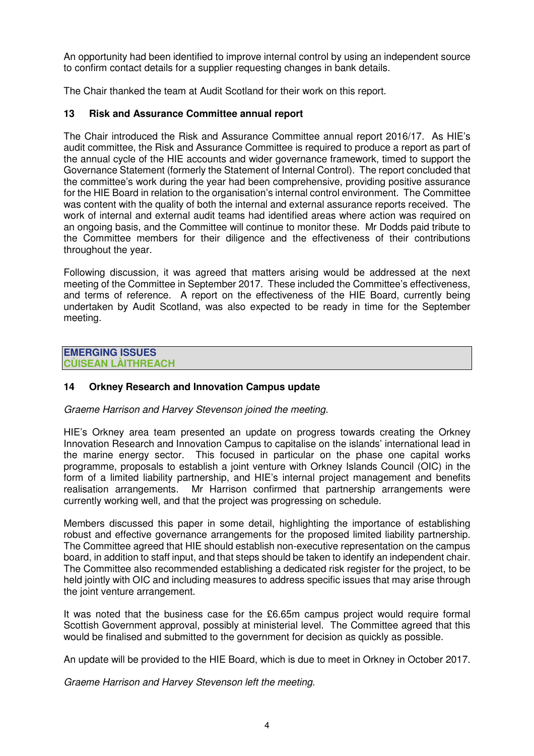An opportunity had been identified to improve internal control by using an independent source to confirm contact details for a supplier requesting changes in bank details.

The Chair thanked the team at Audit Scotland for their work on this report.

### **13 Risk and Assurance Committee annual report**

The Chair introduced the Risk and Assurance Committee annual report 2016/17. As HIE's audit committee, the Risk and Assurance Committee is required to produce a report as part of the annual cycle of the HIE accounts and wider governance framework, timed to support the Governance Statement (formerly the Statement of Internal Control). The report concluded that the committee's work during the year had been comprehensive, providing positive assurance for the HIE Board in relation to the organisation's internal control environment. The Committee was content with the quality of both the internal and external assurance reports received. The work of internal and external audit teams had identified areas where action was required on an ongoing basis, and the Committee will continue to monitor these. Mr Dodds paid tribute to the Committee members for their diligence and the effectiveness of their contributions throughout the year.

Following discussion, it was agreed that matters arising would be addressed at the next meeting of the Committee in September 2017. These included the Committee's effectiveness, and terms of reference. A report on the effectiveness of the HIE Board, currently being undertaken by Audit Scotland, was also expected to be ready in time for the September meeting.

#### **EMERGING ISSUES CÙISEAN LÀITHREACH**

# **14 Orkney Research and Innovation Campus update**

### Graeme Harrison and Harvey Stevenson joined the meeting.

HIE's Orkney area team presented an update on progress towards creating the Orkney Innovation Research and Innovation Campus to capitalise on the islands' international lead in the marine energy sector. This focused in particular on the phase one capital works programme, proposals to establish a joint venture with Orkney Islands Council (OIC) in the form of a limited liability partnership, and HIE's internal project management and benefits realisation arrangements. Mr Harrison confirmed that partnership arrangements were currently working well, and that the project was progressing on schedule.

Members discussed this paper in some detail, highlighting the importance of establishing robust and effective governance arrangements for the proposed limited liability partnership. The Committee agreed that HIE should establish non-executive representation on the campus board, in addition to staff input, and that steps should be taken to identify an independent chair. The Committee also recommended establishing a dedicated risk register for the project, to be held jointly with OIC and including measures to address specific issues that may arise through the joint venture arrangement.

It was noted that the business case for the £6.65m campus project would require formal Scottish Government approval, possibly at ministerial level. The Committee agreed that this would be finalised and submitted to the government for decision as quickly as possible.

An update will be provided to the HIE Board, which is due to meet in Orkney in October 2017.

Graeme Harrison and Harvey Stevenson left the meeting.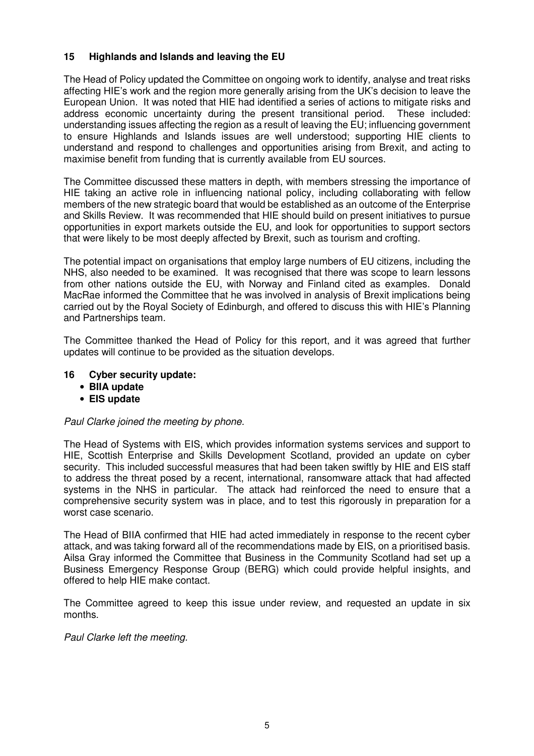# **15 Highlands and Islands and leaving the EU**

The Head of Policy updated the Committee on ongoing work to identify, analyse and treat risks affecting HIE's work and the region more generally arising from the UK's decision to leave the European Union. It was noted that HIE had identified a series of actions to mitigate risks and address economic uncertainty during the present transitional period. These included: understanding issues affecting the region as a result of leaving the EU; influencing government to ensure Highlands and Islands issues are well understood; supporting HIE clients to understand and respond to challenges and opportunities arising from Brexit, and acting to maximise benefit from funding that is currently available from EU sources.

The Committee discussed these matters in depth, with members stressing the importance of HIE taking an active role in influencing national policy, including collaborating with fellow members of the new strategic board that would be established as an outcome of the Enterprise and Skills Review. It was recommended that HIE should build on present initiatives to pursue opportunities in export markets outside the EU, and look for opportunities to support sectors that were likely to be most deeply affected by Brexit, such as tourism and crofting.

The potential impact on organisations that employ large numbers of EU citizens, including the NHS, also needed to be examined. It was recognised that there was scope to learn lessons from other nations outside the EU, with Norway and Finland cited as examples. Donald MacRae informed the Committee that he was involved in analysis of Brexit implications being carried out by the Royal Society of Edinburgh, and offered to discuss this with HIE's Planning and Partnerships team.

The Committee thanked the Head of Policy for this report, and it was agreed that further updates will continue to be provided as the situation develops.

### **16 Cyber security update:**

- **BIIA update**
- **EIS update**

### Paul Clarke joined the meeting by phone.

The Head of Systems with EIS, which provides information systems services and support to HIE, Scottish Enterprise and Skills Development Scotland, provided an update on cyber security. This included successful measures that had been taken swiftly by HIE and EIS staff to address the threat posed by a recent, international, ransomware attack that had affected systems in the NHS in particular. The attack had reinforced the need to ensure that a comprehensive security system was in place, and to test this rigorously in preparation for a worst case scenario.

The Head of BIIA confirmed that HIE had acted immediately in response to the recent cyber attack, and was taking forward all of the recommendations made by EIS, on a prioritised basis. Ailsa Gray informed the Committee that Business in the Community Scotland had set up a Business Emergency Response Group (BERG) which could provide helpful insights, and offered to help HIE make contact.

The Committee agreed to keep this issue under review, and requested an update in six months.

Paul Clarke left the meeting.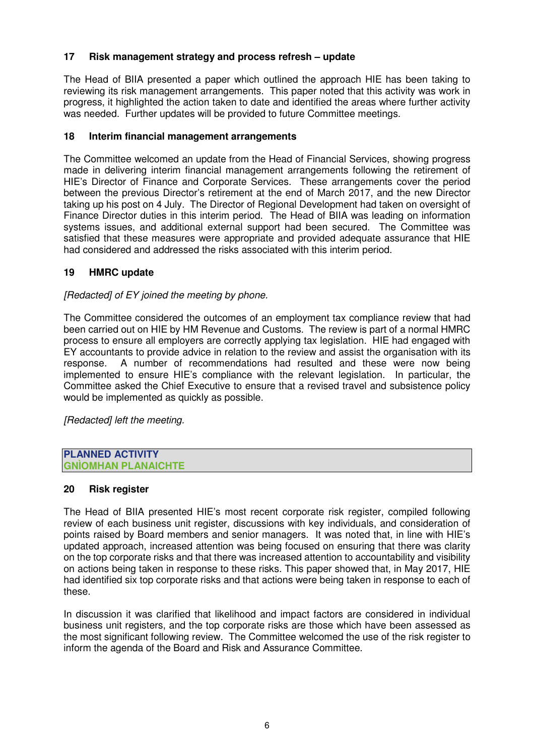# **17 Risk management strategy and process refresh – update**

The Head of BIIA presented a paper which outlined the approach HIE has been taking to reviewing its risk management arrangements. This paper noted that this activity was work in progress, it highlighted the action taken to date and identified the areas where further activity was needed. Further updates will be provided to future Committee meetings.

### **18 Interim financial management arrangements**

The Committee welcomed an update from the Head of Financial Services, showing progress made in delivering interim financial management arrangements following the retirement of HIE's Director of Finance and Corporate Services. These arrangements cover the period between the previous Director's retirement at the end of March 2017, and the new Director taking up his post on 4 July. The Director of Regional Development had taken on oversight of Finance Director duties in this interim period. The Head of BIIA was leading on information systems issues, and additional external support had been secured. The Committee was satisfied that these measures were appropriate and provided adequate assurance that HIE had considered and addressed the risks associated with this interim period.

### **19 HMRC update**

# [Redacted] of EY joined the meeting by phone.

The Committee considered the outcomes of an employment tax compliance review that had been carried out on HIE by HM Revenue and Customs. The review is part of a normal HMRC process to ensure all employers are correctly applying tax legislation. HIE had engaged with EY accountants to provide advice in relation to the review and assist the organisation with its response. A number of recommendations had resulted and these were now being implemented to ensure HIE's compliance with the relevant legislation. In particular, the Committee asked the Chief Executive to ensure that a revised travel and subsistence policy would be implemented as quickly as possible.

[Redacted] left the meeting.

#### **PLANNED ACTIVITY GNÌOMHAN PLANAICHTE**

### **20 Risk register**

The Head of BIIA presented HIE's most recent corporate risk register, compiled following review of each business unit register, discussions with key individuals, and consideration of points raised by Board members and senior managers. It was noted that, in line with HIE's updated approach, increased attention was being focused on ensuring that there was clarity on the top corporate risks and that there was increased attention to accountability and visibility on actions being taken in response to these risks. This paper showed that, in May 2017, HIE had identified six top corporate risks and that actions were being taken in response to each of these.

In discussion it was clarified that likelihood and impact factors are considered in individual business unit registers, and the top corporate risks are those which have been assessed as the most significant following review. The Committee welcomed the use of the risk register to inform the agenda of the Board and Risk and Assurance Committee.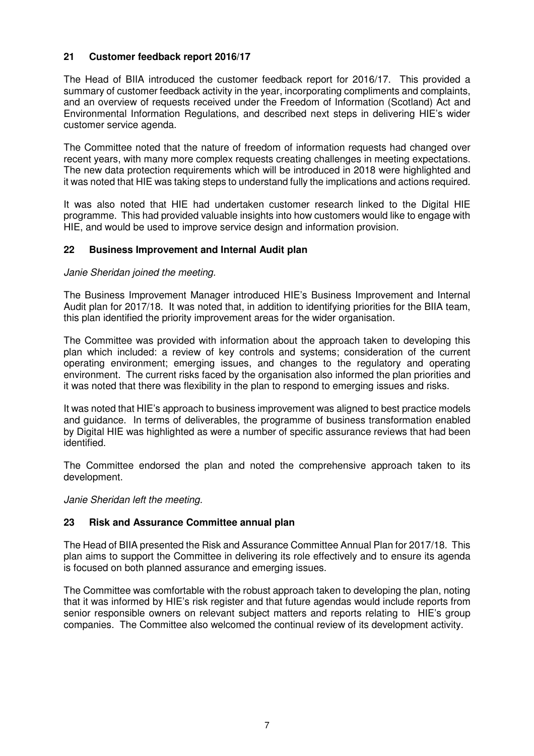# **21 Customer feedback report 2016/17**

The Head of BIIA introduced the customer feedback report for 2016/17. This provided a summary of customer feedback activity in the year, incorporating compliments and complaints, and an overview of requests received under the Freedom of Information (Scotland) Act and Environmental Information Regulations, and described next steps in delivering HIE's wider customer service agenda.

The Committee noted that the nature of freedom of information requests had changed over recent years, with many more complex requests creating challenges in meeting expectations. The new data protection requirements which will be introduced in 2018 were highlighted and it was noted that HIE was taking steps to understand fully the implications and actions required.

It was also noted that HIE had undertaken customer research linked to the Digital HIE programme. This had provided valuable insights into how customers would like to engage with HIE, and would be used to improve service design and information provision.

### **22 Business Improvement and Internal Audit plan**

### Janie Sheridan joined the meeting.

The Business Improvement Manager introduced HIE's Business Improvement and Internal Audit plan for 2017/18. It was noted that, in addition to identifying priorities for the BIIA team, this plan identified the priority improvement areas for the wider organisation.

The Committee was provided with information about the approach taken to developing this plan which included: a review of key controls and systems; consideration of the current operating environment; emerging issues, and changes to the regulatory and operating environment. The current risks faced by the organisation also informed the plan priorities and it was noted that there was flexibility in the plan to respond to emerging issues and risks.

It was noted that HIE's approach to business improvement was aligned to best practice models and guidance. In terms of deliverables, the programme of business transformation enabled by Digital HIE was highlighted as were a number of specific assurance reviews that had been identified.

The Committee endorsed the plan and noted the comprehensive approach taken to its development.

Janie Sheridan left the meeting.

### **23 Risk and Assurance Committee annual plan**

The Head of BIIA presented the Risk and Assurance Committee Annual Plan for 2017/18. This plan aims to support the Committee in delivering its role effectively and to ensure its agenda is focused on both planned assurance and emerging issues.

The Committee was comfortable with the robust approach taken to developing the plan, noting that it was informed by HIE's risk register and that future agendas would include reports from senior responsible owners on relevant subject matters and reports relating to HIE's group companies. The Committee also welcomed the continual review of its development activity.